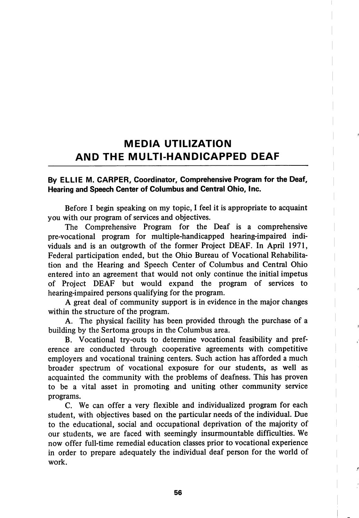## MEDIA UTILIZATION AND THE MULTI-HANDICAPPED DEAF

## By ELLIE M. CARPER, Coordinator, Comprehensive Program for the Deaf, Hearing and Speech Center of Columbus and Central Ohio, Inc.

Before I begin speaking on my topic, I feel it is appropriate to acquaint you with our program of services and objectives.

The Comprehensive Program for the Deaf is a comprehensive pre-vocational program for multiple-handicapped hearing-impaired indi viduals and is an outgrowth of the former Project DEAF. In April 1971, Federal participation ended, but the Ohio Bureau of Vocational Rehabilita tion and the Hearing and Speech Center of Columbus and Central Ohio entered into an agreement that would not only continue the initial impetus of Project DEAF but would expand the program of services to hearing-impaired persons qualifying for the program.

A great deal of community support is in evidence in the major changes within the structure of the program.

A. The physical facility has been provided through the purchase of a building by the Sertoma groups in the Columbus area.

B. Vocational try-outs to determine vocational feasibility and pref erence are conducted through cooperative agreements with competitive employers and vocational training centers. Such action has afforded a much broader spectrum of vocational exposure for our students, as well as acquainted the community with the problems of deafness. This has proven to be a vital asset in promoting and uniting other community service programs.

C. We can offer a very flexible and individualized program for each student, with objectives based on the particular needs of the individual. Due to the educational, social and occupational deprivation of the majority of our students, we are faced with seemingly insurmountable difficulties. We now offer full-time remedial education classes prior to vocational experience in order to prepare adequately the individual deaf person for the world of work.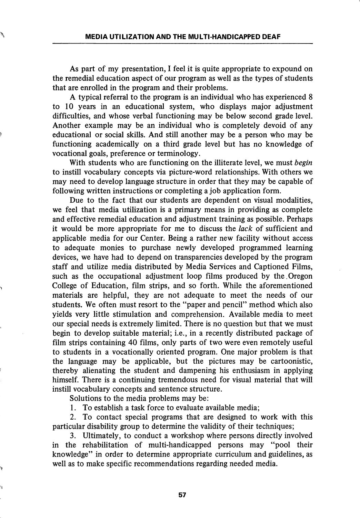As part of my presentation, I feel it is quite appropriate to expound on the remedial education aspect of our program as well as the types of students that are enrolled in the program and their problems.

A typical referral to the program is an individual who has experienced 8 to 10 years in an educational system, who displays major adjustment difficulties, and whose verbal functioning may be below second grade level. Another example may be an individual who is completely devoid of any educational or social skills. And still another may be a person who may be functioning academically on a third grade level but has no knowledge of vocational goals, preference or terminology.

With students who are functioning on the illiterate level, we must begin to instill vocabulary concepts via picture-word relationships. With others we may need to develop language structure in order that they may be capable of following written instructions or completing a job application form.

Due to the fact that our students are dependent on visual modalities, we feel that media utilization is a primary means in providing as complete and effective remedial education and adjustment training as possible. Perhaps it would be more appropriate for me to discuss the lack of sufficient and applicable media for our Center. Being a rather new facility without access to adequate monies to purchase newly developed programmed learning devices, we have had to depend on transparencies developed by the program staff and utilize media distributed by Media Services and Captioned Films, such as the occupational adjustment loop films produced by the.Oregon College of Education, film strips, and so forth. While the aforementioned materials are helpful, they are not adequate to meet the needs of our students. We often must resort to the "paper and pencil" method which also yields very little stimulation and comprehension. Available media to meet our special needs is extremely limited. There is no question but that we must begin to develop suitable material; i.e., in a recently distributed package of film strips containing 40 films, only parts of two were even remotely useful to students in a vocationally oriented program. One major problem is that the language may be applicable, but the pictures may be cartoonistic, thereby alienating the student and dampening his enthusiasm in applying himself. There is a continuing tremendous need for visual material that will instill vocabulary concepts and sentence structure.

Solutions to the media problems may be:

1. To establish a task force to evaluate available media;

2. To contact special programs that are designed to work with this particular disability group to determine the validity of their techniques;

3. Ultimately, to conduct a workshop where persons directly involved in the rehabilitation of multi-handicapped persons may "pool their knowledge" in order to determine appropriate curriculum and guidelines, as well as to make specific recommendations regarding needed media.

57